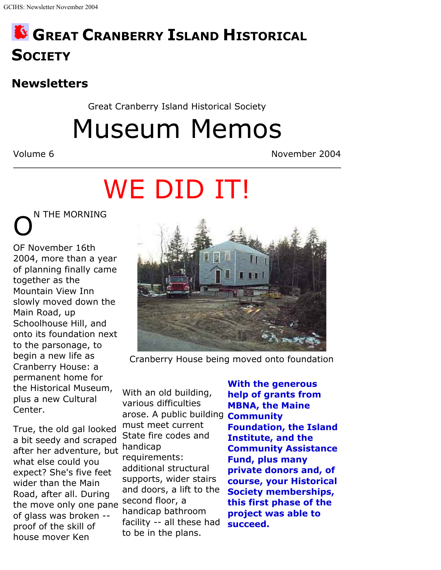## **GREAT CRANBERRY ISLAND HISTORICAL SOCIETY**

### **Newsletters**

Great Cranberry Island Historical Society

Museum Memos

Volume 6 November 2004

# WE DID IT!

**N THE MORNING** 

OF November 16th 2004, more than a year of planning finally came together as the Mountain View Inn slowly moved down the Main Road, up Schoolhouse Hill, and onto its foundation next to the parsonage, to begin a new life as Cranberry House: a permanent home for the Historical Museum, plus a new Cultural Center.

True, the old gal looked a bit seedy and scraped after her adventure, but handicap what else could you expect? She's five feet wider than the Main Road, after all. During the move only one pane of glass was broken - proof of the skill of house mover Ken



Cranberry House being moved onto foundation

With an old building, various difficulties arose. A public building **Community** must meet current State fire codes and requirements: additional structural supports, wider stairs and doors, a lift to the second floor, a handicap bathroom facility -- all these had to be in the plans.

**With the generous help of grants from MBNA, the Maine Foundation, the Island Institute, and the Community Assistance Fund, plus many private donors and, of course, your Historical Society memberships, this first phase of the project was able to succeed.**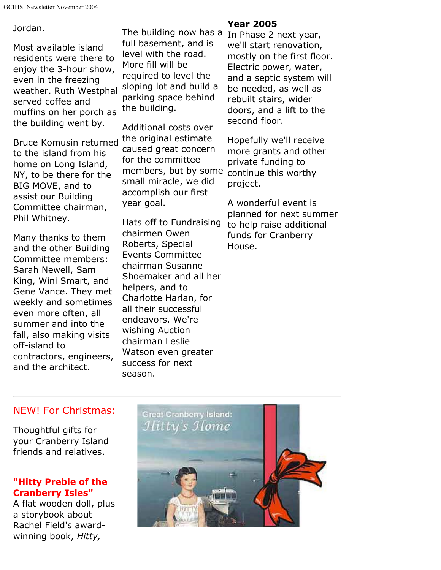#### Jordan.

Most available island residents were there to enjoy the 3-hour show, even in the freezing weather. Ruth Westphal served coffee and muffins on her porch as the building went by.

Bruce Komusin returned to the island from his home on Long Island, NY, to be there for the BIG MOVE, and to assist our Building Committee chairman, Phil Whitney.

Many thanks to them and the other Building Committee members: Sarah Newell, Sam King, Wini Smart, and Gene Vance. They met weekly and sometimes even more often, all summer and into the fall, also making visits off-island to contractors, engineers, and the architect.

The building now has a In Phase 2 next year, full basement, and is level with the road. More fill will be required to level the sloping lot and build a parking space behind the building.

Additional costs over the original estimate caused great concern for the committee members, but by some continue this worthy small miracle, we did accomplish our first year goal.

Hats off to Fundraising chairmen Owen Roberts, Special Events Committee chairman Susanne Shoemaker and all her helpers, and to Charlotte Harlan, for all their successful endeavors. We're wishing Auction chairman Leslie Watson even greater success for next season.

#### **Year 2005**

we'll start renovation, mostly on the first floor. Electric power, water, and a septic system will be needed, as well as rebuilt stairs, wider doors, and a lift to the second floor.

Hopefully we'll receive more grants and other private funding to project.

A wonderful event is planned for next summer to help raise additional funds for Cranberry House.

#### NEW! For Christmas:

Thoughtful gifts for your Cranberry Island friends and relatives.

#### **"Hitty Preble of the Cranberry Isles"**

A flat wooden doll, plus a storybook about Rachel Field's awardwinning book, *Hitty,*

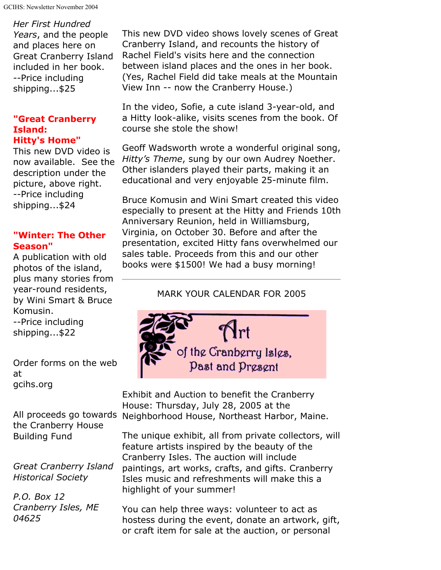*Her First Hundred Years*, and the people and places here on Great Cranberry Island included in her book. --Price including shipping...\$25

#### **"Great Cranberry Island: Hitty's Home"**

This new DVD video is now available. See the description under the picture, above right. --Price including shipping...\$24

#### **"Winter: The Other Season"**

A publication with old photos of the island, plus many stories from year-round residents, by Wini Smart & Bruce Komusin. --Price including shipping...\$22

Order forms on the web at gcihs.org

All proceeds go towards the Cranberry House Building Fund

*Great Cranberry Island Historical Society*

*P.O. Box 12 Cranberry Isles, ME 04625*

This new DVD video shows lovely scenes of Great Cranberry Island, and recounts the history of Rachel Field's visits here and the connection between island places and the ones in her book. (Yes, Rachel Field did take meals at the Mountain View Inn -- now the Cranberry House.)

In the video, Sofie, a cute island 3-year-old, and a Hitty look-alike, visits scenes from the book. Of course she stole the show!

Geoff Wadsworth wrote a wonderful original song, *Hitty's Theme*, sung by our own Audrey Noether. Other islanders played their parts, making it an educational and very enjoyable 25-minute film.

Bruce Komusin and Wini Smart created this video especially to present at the Hitty and Friends 10th Anniversary Reunion, held in Williamsburg, Virginia, on October 30. Before and after the presentation, excited Hitty fans overwhelmed our sales table. Proceeds from this and our other books were \$1500! We had a busy morning!

#### MARK YOUR CALENDAR FOR 2005



Exhibit and Auction to benefit the Cranberry House: Thursday, July 28, 2005 at the Neighborhood House, Northeast Harbor, Maine.

The unique exhibit, all from private collectors, will feature artists inspired by the beauty of the Cranberry Isles. The auction will include paintings, art works, crafts, and gifts. Cranberry Isles music and refreshments will make this a highlight of your summer!

You can help three ways: volunteer to act as hostess during the event, donate an artwork, gift, or craft item for sale at the auction, or personal